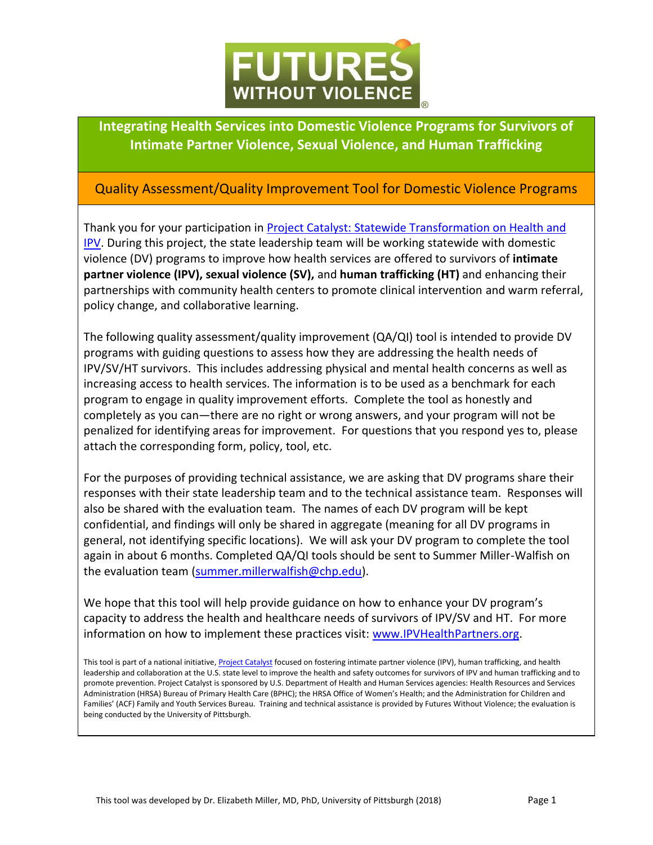

**Integrating Health Services into Domestic Violence Programs for Survivors of Intimate Partner Violence, Sexual Violence, and Human Trafficking** 

## Quality Assessment/Quality Improvement Tool for Domestic Violence Programs

Thank you for your participation in [Project Catalyst: Statewide Transformation on Health and](https://www.futureswithoutviolence.org/health/improving-health-outcomes-through-violence-prevention/)  [IPV.](https://www.futureswithoutviolence.org/health/improving-health-outcomes-through-violence-prevention/) During this project, the state leadership team will be working statewide with domestic violence (DV) programs to improve how health services are offered to survivors of **intimate partner violence (IPV), sexual violence (SV),** and **human trafficking (HT)** and enhancing their partnerships with community health centers to promote clinical intervention and warm referral, policy change, and collaborative learning.

The following quality assessment/quality improvement (QA/QI) tool is intended to provide DV programs with guiding questions to assess how they are addressing the health needs of IPV/SV/HT survivors. This includes addressing physical and mental health concerns as well as increasing access to health services. The information is to be used as a benchmark for each program to engage in quality improvement efforts. Complete the tool as honestly and completely as you can—there are no right or wrong answers, and your program will not be penalized for identifying areas for improvement. For questions that you respond yes to, please attach the corresponding form, policy, tool, etc.

For the purposes of providing technical assistance, we are asking that DV programs share their responses with their state leadership team and to the technical assistance team. Responses will also be shared with the evaluation team. The names of each DV program will be kept confidential, and findings will only be shared in aggregate (meaning for all DV programs in general, not identifying specific locations). We will ask your DV program to complete the tool again in about 6 months. Completed QA/QI tools should be sent to Summer Miller-Walfish on the evaluation team [\(summer.millerwalfish@chp.edu\)](mailto:summer.millerwalfish@chp.edu).

We hope that this tool will help provide guidance on how to enhance your DV program's capacity to address the health and healthcare needs of survivors of IPV/SV and HT. For more information on how to implement these practices visit: [www.IPVHealthPartners.org.](http://www.ipvhealthpartners.org/)

This tool is part of a national initiative[, Project Catalyst](https://www.futureswithoutviolence.org/health/improving-health-outcomes-through-violence-prevention/) focused on fostering intimate partner violence (IPV), human trafficking, and health leadership and collaboration at the U.S. state level to improve the health and safety outcomes for survivors of IPV and human trafficking and to promote prevention. Project Catalyst is sponsored by U.S. Department of Health and Human Services agencies: Health Resources and Services Administration (HRSA) Bureau of Primary Health Care (BPHC); the HRSA Office of Women's Health; and the Administration for Children and Families' (ACF) Family and Youth Services Bureau. Training and technical assistance is provided by Futures Without Violence; the evaluation is being conducted by the University of Pittsburgh.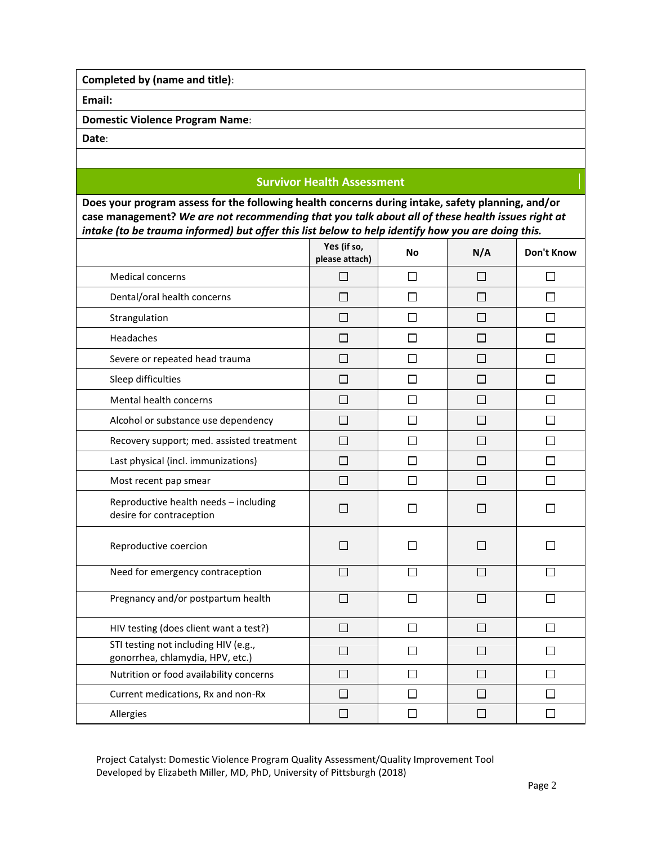**Completed by (name and title)**:

**Email:**

**Domestic Violence Program Name**:

**Date**:

## **Survivor Health Assessment**

**Does your program assess for the following health concerns during intake, safety planning, and/or case management?** *We are not recommending that you talk about all of these health issues right at intake (to be trauma informed) but offer this list below to help identify how you are doing this.*

|                                                                          | Yes (if so,<br>please attach) | No     | N/A                         | <b>Don't Know</b> |
|--------------------------------------------------------------------------|-------------------------------|--------|-----------------------------|-------------------|
| Medical concerns                                                         |                               | П      | ΙI                          |                   |
| Dental/oral health concerns                                              | $\Box$                        | $\Box$ | $\Box$                      | $\Box$            |
| Strangulation                                                            | $\Box$                        | $\Box$ | $\Box$                      | П                 |
| Headaches                                                                | l.                            | П      | ΙI                          | ΙI                |
| Severe or repeated head trauma                                           | П                             | П      | $\Box$                      | П                 |
| Sleep difficulties                                                       | П                             | П      | П                           | П                 |
| Mental health concerns                                                   | $\Box$                        | □      | $\Box$                      | П                 |
| Alcohol or substance use dependency                                      | П                             | П      | П                           | П                 |
| Recovery support; med. assisted treatment                                | П                             | П      | П                           |                   |
| Last physical (incl. immunizations)                                      | П                             | П      | $\mathsf{L}$                | $\mathsf{L}$      |
| Most recent pap smear                                                    | П                             | П      | П                           | П                 |
| Reproductive health needs - including<br>desire for contraception        | $\Box$                        | П      | $\mathcal{L}_{\mathcal{A}}$ |                   |
| Reproductive coercion                                                    | $\Box$                        | ΙI     | l.                          |                   |
| Need for emergency contraception                                         | П                             | П      | П                           |                   |
| Pregnancy and/or postpartum health                                       | П                             | П      | П                           | ┎                 |
| HIV testing (does client want a test?)                                   | П                             | $\Box$ | П                           | П                 |
| STI testing not including HIV (e.g.,<br>gonorrhea, chlamydia, HPV, etc.) | $\Box$                        | П      | $\Box$                      |                   |
| Nutrition or food availability concerns                                  | $\blacksquare$                | П      | $\mathsf{L}$                | $\mathsf{L}$      |
| Current medications, Rx and non-Rx                                       | П                             | П      | П                           |                   |
| Allergies                                                                | $\Box$                        | П      | $\mathcal{L}_{\mathcal{A}}$ |                   |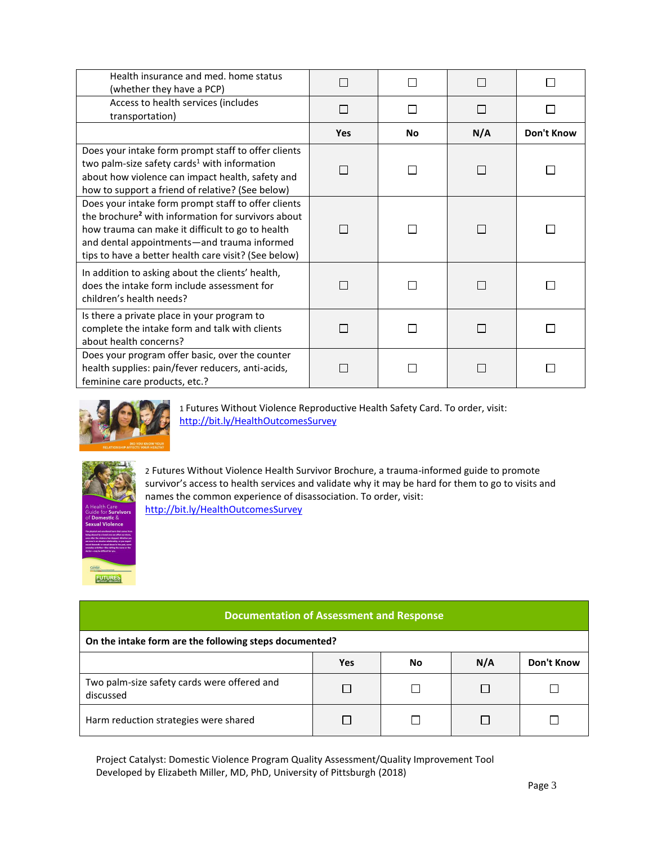| Health insurance and med. home status<br>(whether they have a PCP)                                                                                                                                                                                                               |             |           |                          |            |
|----------------------------------------------------------------------------------------------------------------------------------------------------------------------------------------------------------------------------------------------------------------------------------|-------------|-----------|--------------------------|------------|
| Access to health services (includes<br>transportation)                                                                                                                                                                                                                           | <b>Tale</b> |           | $\sim$                   |            |
|                                                                                                                                                                                                                                                                                  | <b>Yes</b>  | <b>No</b> | N/A                      | Don't Know |
| Does your intake form prompt staff to offer clients<br>two palm-size safety cards <sup>1</sup> with information<br>about how violence can impact health, safety and<br>how to support a friend of relative? (See below)                                                          |             |           |                          |            |
| Does your intake form prompt staff to offer clients<br>the brochure <sup>2</sup> with information for survivors about<br>how trauma can make it difficult to go to health<br>and dental appointments-and trauma informed<br>tips to have a better health care visit? (See below) |             |           | <b>COL</b>               |            |
| In addition to asking about the clients' health,<br>does the intake form include assessment for<br>children's health needs?                                                                                                                                                      |             |           | $\overline{\phantom{0}}$ |            |
| Is there a private place in your program to<br>complete the intake form and talk with clients<br>about health concerns?                                                                                                                                                          |             |           | I.                       |            |
| Does your program offer basic, over the counter<br>health supplies: pain/fever reducers, anti-acids,<br>feminine care products, etc.?                                                                                                                                            |             |           |                          |            |



1 Futures Without Violence Reproductive Health Safety Card. To order, visit: <http://bit.ly/HealthOutcomesSurvey>



2 Futures Without Violence Health Survivor Brochure, a trauma-informed guide to promote survivor's access to health services and validate why it may be hard for them to go to visits and names the common experience of disassociation. To order, visit: <http://bit.ly/HealthOutcomesSurvey>

## **Documentation of Assessment and Response**

## **On the intake form are the following steps documented?**

|                                                          | Yes | No | N/A | Don't Know |
|----------------------------------------------------------|-----|----|-----|------------|
| Two palm-size safety cards were offered and<br>discussed |     |    |     |            |
| Harm reduction strategies were shared                    |     |    |     |            |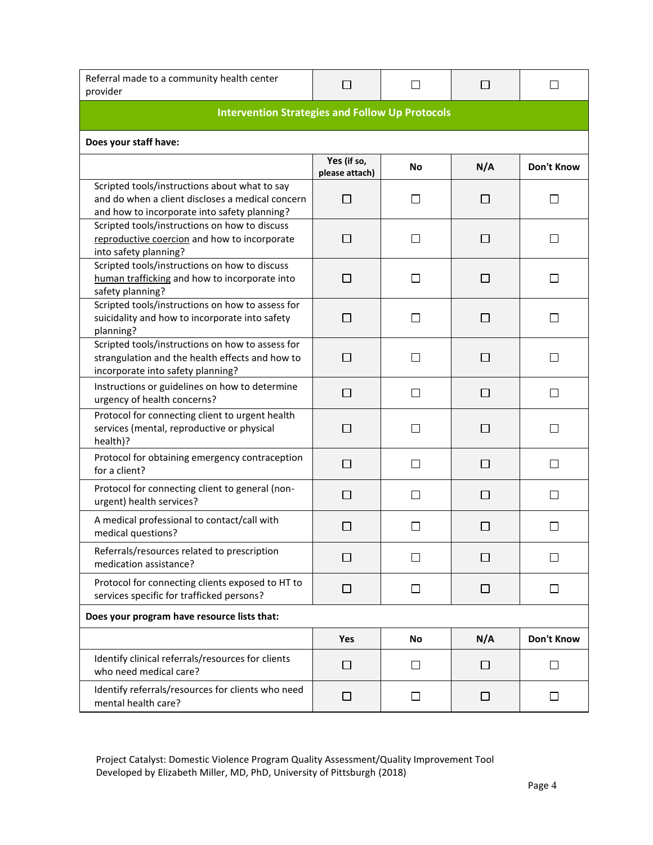| Referral made to a community health center<br>provider                                                                                            | П                             | $\Box$ | $\Box$       | $\mathsf{L}$             |  |
|---------------------------------------------------------------------------------------------------------------------------------------------------|-------------------------------|--------|--------------|--------------------------|--|
| <b>Intervention Strategies and Follow Up Protocols</b>                                                                                            |                               |        |              |                          |  |
| Does your staff have:                                                                                                                             |                               |        |              |                          |  |
|                                                                                                                                                   | Yes (if so,<br>please attach) | No     | N/A          | <b>Don't Know</b>        |  |
| Scripted tools/instructions about what to say<br>and do when a client discloses a medical concern<br>and how to incorporate into safety planning? | П                             | $\Box$ | $\Box$       | П                        |  |
| Scripted tools/instructions on how to discuss<br>reproductive coercion and how to incorporate<br>into safety planning?                            | $\Box$                        | П      | $\Box$       | $\overline{\phantom{0}}$ |  |
| Scripted tools/instructions on how to discuss<br>human trafficking and how to incorporate into<br>safety planning?                                | П                             | П      | П            | l 1                      |  |
| Scripted tools/instructions on how to assess for<br>suicidality and how to incorporate into safety<br>planning?                                   | П                             | П      | ΙI           | $\mathsf{I}$             |  |
| Scripted tools/instructions on how to assess for<br>strangulation and the health effects and how to<br>incorporate into safety planning?          | $\Box$                        | П      | $\Box$       | П                        |  |
| Instructions or guidelines on how to determine<br>urgency of health concerns?                                                                     | П                             | П      | П            | П                        |  |
| Protocol for connecting client to urgent health<br>services (mental, reproductive or physical<br>health)?                                         | П                             | П      | П            | П                        |  |
| Protocol for obtaining emergency contraception<br>for a client?                                                                                   | $\Box$                        | П      | П            | П                        |  |
| Protocol for connecting client to general (non-<br>urgent) health services?                                                                       | П                             | П      | П            | П                        |  |
| A medical professional to contact/call with<br>medical questions?                                                                                 | □                             | П      | ⊔            | $\mathsf{L}$             |  |
| Referrals/resources related to prescription<br>medication assistance?                                                                             | П                             | □      | $\mathsf{L}$ | П                        |  |
| Protocol for connecting clients exposed to HT to<br>services specific for trafficked persons?                                                     | □                             | $\Box$ | □            | $\Box$                   |  |
| Does your program have resource lists that:                                                                                                       |                               |        |              |                          |  |
|                                                                                                                                                   | Yes                           | No     | N/A          | Don't Know               |  |
| Identify clinical referrals/resources for clients<br>who need medical care?                                                                       | $\Box$                        | $\Box$ | $\Box$       | $\Box$                   |  |
| Identify referrals/resources for clients who need<br>mental health care?                                                                          | □                             | ப      | $\sqcup$     | $\Box$                   |  |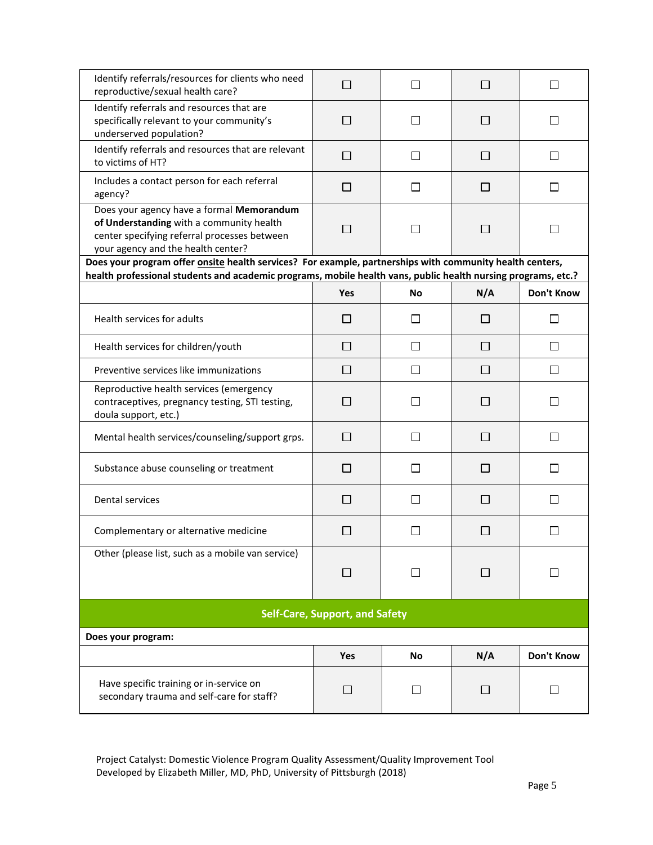| Identify referrals/resources for clients who need<br>reproductive/sexual health care?                                                                                       | П          | П            | $\Box$       | $\Box$       |  |
|-----------------------------------------------------------------------------------------------------------------------------------------------------------------------------|------------|--------------|--------------|--------------|--|
| Identify referrals and resources that are<br>specifically relevant to your community's<br>underserved population?                                                           | П          | П            | $\mathsf{L}$ |              |  |
| Identify referrals and resources that are relevant<br>to victims of HT?                                                                                                     | П          | П            | П            |              |  |
| Includes a contact person for each referral<br>agency?                                                                                                                      | □          | $\Box$       | П            | П            |  |
| Does your agency have a formal Memorandum<br>of Understanding with a community health<br>center specifying referral processes between<br>your agency and the health center? | П          | П            | $\Box$       | $\mathsf{L}$ |  |
| Does your program offer <b>onsite</b> health services? For example, partnerships with community health centers,                                                             |            |              |              |              |  |
| health professional students and academic programs, mobile health vans, public health nursing programs, etc.?                                                               |            |              |              |              |  |
|                                                                                                                                                                             | <b>Yes</b> | <b>No</b>    | N/A          | Don't Know   |  |
| Health services for adults                                                                                                                                                  | $\Box$     | $\mathsf{L}$ | $\mathsf{L}$ |              |  |
| Health services for children/youth                                                                                                                                          | ப          | $\Box$       | $\mathsf{L}$ | $\perp$      |  |
| Preventive services like immunizations                                                                                                                                      | П          | П            | П            | l 1          |  |
| Reproductive health services (emergency<br>contraceptives, pregnancy testing, STI testing,<br>doula support, etc.)                                                          | П          | П            | П            | $\mathsf{L}$ |  |
| Mental health services/counseling/support grps.                                                                                                                             | П          | $\Box$       | $\Box$       | П            |  |
| Substance abuse counseling or treatment                                                                                                                                     | $\Box$     | П            | $\Box$       | П            |  |
| <b>Dental services</b>                                                                                                                                                      | $\Box$     | $\Box$       | $\Box$       | $\mathsf{L}$ |  |
| Complementary or alternative medicine                                                                                                                                       | n.         |              | $\Box$       |              |  |
| Other (please list, such as a mobile van service)                                                                                                                           | П          | П            |              |              |  |
| <b>Self-Care, Support, and Safety</b>                                                                                                                                       |            |              |              |              |  |
| Does your program:                                                                                                                                                          |            |              |              |              |  |
|                                                                                                                                                                             | Yes        | No           | N/A          | Don't Know   |  |
| Have specific training or in-service on<br>secondary trauma and self-care for staff?                                                                                        | □          | $\Box$       | ΙI           | $\mathsf{L}$ |  |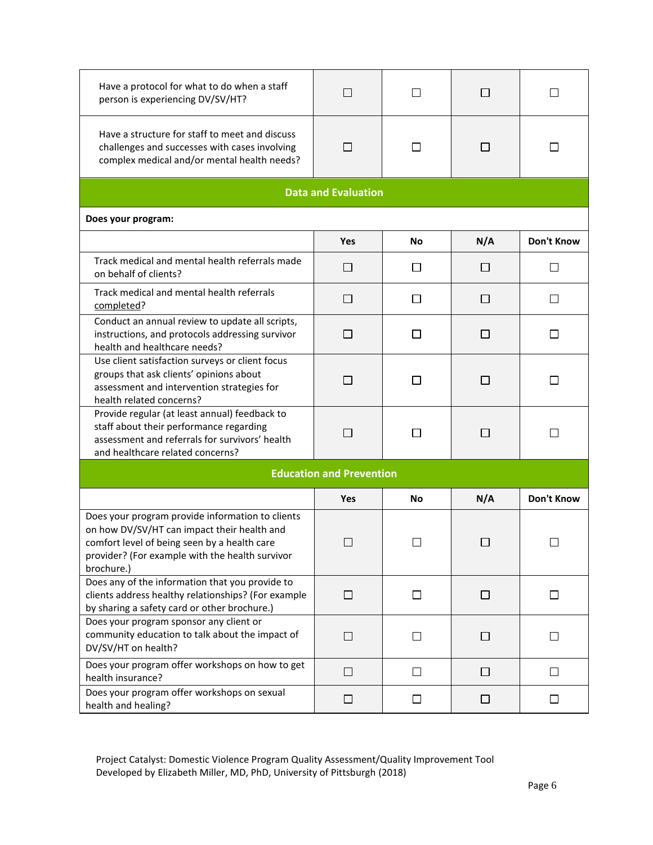| Have a protocol for what to do when a staff<br>person is experiencing DV/SV/HT?                                                                                                                                  | П                               | П              | □      | ĪΙ           |
|------------------------------------------------------------------------------------------------------------------------------------------------------------------------------------------------------------------|---------------------------------|----------------|--------|--------------|
| Have a structure for staff to meet and discuss<br>challenges and successes with cases involving<br>complex medical and/or mental health needs?                                                                   | П                               | П              | □      | $\mathsf{I}$ |
|                                                                                                                                                                                                                  | <b>Data and Evaluation</b>      |                |        |              |
| Does your program:                                                                                                                                                                                               |                                 |                |        |              |
|                                                                                                                                                                                                                  | <b>Yes</b>                      | No             | N/A    | Don't Know   |
| Track medical and mental health referrals made<br>on behalf of clients?                                                                                                                                          | □                               | ⊔              | $\Box$ | ⊔            |
| Track medical and mental health referrals<br>completed?                                                                                                                                                          | □                               | $\perp$        | □      | $\perp$      |
| Conduct an annual review to update all scripts,<br>instructions, and protocols addressing survivor<br>health and healthcare needs?                                                                               | □                               | $\blacksquare$ | □      | $\Box$       |
| Use client satisfaction surveys or client focus<br>groups that ask clients' opinions about<br>assessment and intervention strategies for<br>health related concerns?                                             | □                               | ΙI             | □      | $\mathsf{L}$ |
| Provide regular (at least annual) feedback to<br>staff about their performance regarding<br>assessment and referrals for survivors' health<br>and healthcare related concerns?                                   | П                               | $\Box$         | $\Box$ | П            |
|                                                                                                                                                                                                                  | <b>Education and Prevention</b> |                |        |              |
|                                                                                                                                                                                                                  | <b>Yes</b>                      | <b>No</b>      | N/A    | Don't Know   |
| Does your program provide information to clients<br>on how DV/SV/HT can impact their health and<br>comfort level of being seen by a health care<br>provider? (For example with the health survivor<br>brochure.) | □                               | $\Box$         | $\Box$ | □            |
| Does any of the information that you provide to<br>clients address healthy relationships? (For example<br>by sharing a safety card or other brochure.)                                                           | $\Box$                          | □              | □      | П            |
| Does your program sponsor any client or<br>community education to talk about the impact of<br>DV/SV/HT on health?                                                                                                | $\Box$                          | □              | $\Box$ | l 1          |
| Does your program offer workshops on how to get<br>health insurance?                                                                                                                                             | □                               | □              | □      | П            |
| Does your program offer workshops on sexual<br>health and healing?                                                                                                                                               | $\Box$                          | ⊔              | ⊔      | $\Box$       |